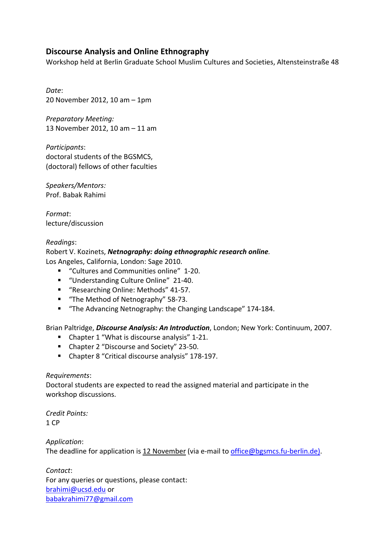## **Discourse Analysis and Online Ethnography**

Workshop held at Berlin Graduate School Muslim Cultures and Societies, Altensteinstraße 48

*Date*: 20 November 2012, 10 am – 1pm

*Preparatory Meeting:* 13 November 2012, 10 am – 11 am

*Participants*: doctoral students of the BGSMCS, (doctoral) fellows of other faculties

*Speakers/Mentors:* Prof. Babak Rahimi

*Format*: lecture/discussion

## *Readings*:

Robert V. Kozinets, *Netnography: doing ethnographic research online.*  Los Angeles, California, London: Sage 2010.

- "Cultures and Communities online" 1-20.
- "Understanding Culture Online" 21-40.
- "Researching Online: Methods" 41-57.
- "The Method of Netnography" 58-73.
- "The Advancing Netnography: the Changing Landscape" 174-184.

Brian Paltridge, *Discourse Analysis: An Introduction*, London; New York: Continuum, 2007.

- Chapter 1 "What is discourse analysis" 1-21.
- Chapter 2 "Discourse and Society" 23-50.
- Chapter 8 "Critical discourse analysis" 178-197.

## *Requirements*:

Doctoral students are expected to read the assigned material and participate in the workshop discussions.

*Credit Points:* 1 CP

*Application*:

The deadline for application is 12 November (via e-mail to office@bgsmcs.fu-berlin.de).

*Contact*: For any queries or questions, please contact: brahimi@ucsd.edu or babakrahimi77@gmail.com